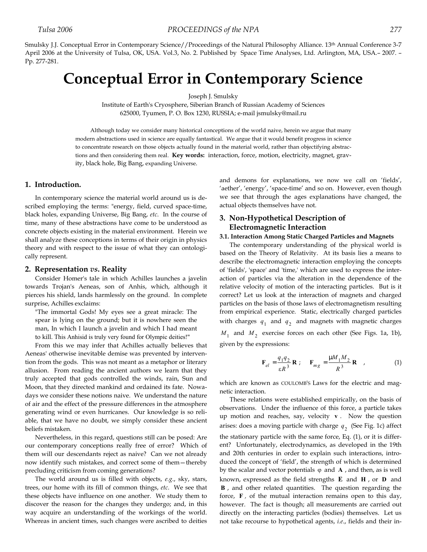Smulsky J.J. Conceptual Error in Contemporary Science//Proceedings of the Natural Philosophy Alliance. 13<sup>th</sup> Annual Conference 3-7 April 2006 at the University of Tulsa, OK, USA. Vol.3, No. 2. Published by Space Time Analyses, Ltd. Arlington, MA, USA.– 2007. – Pp. 277-281.

# **Conceptual Error in Contemporary Science**

Joseph J. Smulsky

Institute of Earth's Cryosphere, Siberian Branch of Russian Academy of Sciences 625000, Tyumen, P. O. Box 1230, RUSSIA; e-mail jsmulsky@mail.ru

Although today we consider many historical conceptions of the world naive, herein we argue that many modern abstractions used in science are equally fantastical. We argue that it would benefit progress in science to concentrate research on those objects actually found in the material world, rather than objectifying abstractions and then considering them real. **Key words:** interaction, force, motion, electricity, magnet, gravity, black hole, Big Bang, expanding Universe.

# **1. Introduction.**

In contemporary science the material world around us is described employing the terms: "energy, field, curved space-time, black holes, expanding Universe, Big Bang, *etc*. In the course of time, many of these abstractions have come to be understood as concrete objects existing in the material environment. Herein we shall analyze these conceptions in terms of their origin in physics theory and with respect to the issue of what they can ontologically represent.

#### **2. Representation** *vs***. Reality**

Consider Homer's tale in which Achilles launches a javelin towards Trojan's Aeneas, son of Anhis, which, although it pierces his shield, lands harmlessly on the ground. In complete surprise, Achilles exclaims:

"The immortal Gods! My eyes see a great miracle: The spear is lying on the ground; but it is nowhere seen the man, In which I launch a javelin and which I had meant to kill. This Anhisid is truly very found for Olympic deities!"

From this we may infer that Achilles actually believes that Aeneas' otherwise inevitable demise was prevented by intervention from the gods. This was not meant as a metaphor or literary allusion. From reading the ancient authors we learn that they truly accepted that gods controlled the winds, rain, Sun and Moon, that they directed mankind and ordained its fate. Nowadays we consider these notions naive. We understand the nature of air and the effect of the pressure differences in the atmosphere generating wind or even hurricanes. Our knowledge is so reliable, that we have no doubt, we simply consider these ancient beliefs mistaken.

Nevertheless, in this regard, questions still can be posed: Are our contemporary conceptions really free of error? Which of them will our descendants reject as naive? Can we not already now identify such mistakes, and correct some of them—thereby precluding criticism from coming generations?

The world around us is filled with objects, *e.g*., sky, stars, trees, our home with its fill of common things, *etc*. We see that these objects have influence on one another. We study them to discover the reason for the changes they undergo; and, in this way acquire an understanding of the workings of the world. Whereas in ancient times, such changes were ascribed to deities and demons for explanations, we now we call on 'fields', 'aether', 'energy', 'space-time' and so on. However, even though we see that through the ages explanations have changed, the actual objects themselves have not.

# **3. Non-Hypothetical Description of Electromagnetic Interaction**

## **3.1. Interaction Among Static Charged Particles and Magnets**

The contemporary understanding of the physical world is based on the Theory of Relativity. At its basis lies a means to describe the electromagnetic interaction employing the concepts of 'fields', 'space' and 'time,' which are used to express the interaction of particles via the alteration in the dependence of the relative velocity of motion of the interacting particles. But is it correct? Let us look at the interaction of magnets and charged particles on the basis of those laws of electromagnetism resulting from empirical experience. Static, electrically charged particles with charges  $q_1$  and  $q_2$  and magnets with magnetic charges  $M_1$  and  $M_2$  exercise forces on each other (See Figs. 1a, 1b), given by the expressions:

$$
\mathbf{F}_{el} = \frac{q_1 q_2}{\varepsilon R^3} \mathbf{R} \; ; \quad \mathbf{F}_{mg} = \frac{\mu M_1 M_2}{R^3} \mathbf{R} \quad , \tag{1}
$$

which are known as COULOMB'S Laws for the electric and magnetic interaction.

These relations were established empirically, on the basis of observations. Under the influence of this force, a particle takes up motion and reaches, say, velocity **v** . Now the question arises: does a moving particle with charge  $q_2$  (See Fig. 1c) affect the stationary particle with the same force, Eq. (1), or it is different? Unfortunately, electrodynamics, as developed in the 19th and 20th centuries in order to explain such interactions, introduced the concept of 'field', the strength of which is determined by the scalar and vector potentials  $\varphi$  and  $\bf{A}$ , and then, as is well known, expressed as the field strengths **E** and **H** , or **D** and **B** , and other related quantities. The question regarding the force, **F** *,* of the mutual interaction remains open to this day, however. The fact is though; all measurements are carried out directly on the interacting particles (bodies) themselves. Let us not take recourse to hypothetical agents, *i.e*., fields and their in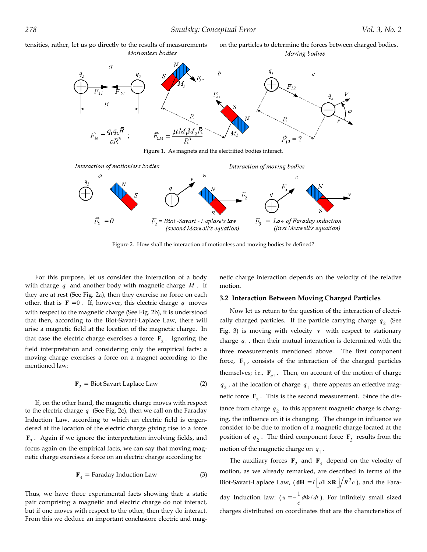tensities, rather, let us go directly to the results of measurements on the particles to determine the forces between charged bodies. Motionless bodies

Moving bodies



Figure 1. As magnets and the electrified bodies interact.



Figure 2. How shall the interaction of motionless and moving bodies be defined?

For this purpose, let us consider the interaction of a body with charge *q* and another body with magnetic charge *M* . If they are at rest (See Fig. 2a), then they exercise no force on each other, that is  $\mathbf{F} = 0$ . If, however, this electric charge  $q$  moves with respect to the magnetic charge (See Fig. 2b), it is understood that then, according to the Biot-Savart-Laplace Law, there will arise a magnetic field at the location of the magnetic charge. In that case the electric charge exercises a force  $\mathbf{F}_2$ . Ignoring the field interpretation and considering only the empirical facts: a moving charge exercises a force on a magnet according to the mentioned law:

$$
\mathbf{F}_2 = \text{Biot Savart Laplace Law} \tag{2}
$$

If, on the other hand, the magnetic charge moves with respect to the electric charge *q* (See Fig. 2c), then we call on the Faraday Induction Law, according to which an electric field is engendered at the location of the electric charge giving rise to a force **F**<sup>3</sup> . Again if we ignore the interpretation involving fields, and focus again on the empirical facts, we can say that moving magnetic charge exercises a force on an electric charge according to:

$$
\mathbf{F}_3 = \text{Faraday Induction Law} \tag{3}
$$

Thus, we have three experimental facts showing that: a static pair comprising a magnetic and electric charge do not interact, but if one moves with respect to the other, then they do interact. From this we deduce an important conclusion: electric and magnetic charge interaction depends on the velocity of the relative motion.

## **3.2 Interaction Between Moving Charged Particles**

Now let us return to the question of the interaction of electrically charged particles. If the particle carrying charge  $q<sub>2</sub>$  (See Fig. 3) is moving with velocity **v** with respect to stationary charge  $q_1$ , then their mutual interaction is determined with the three measurements mentioned above. The first component force,  $\mathbf{F}_1$ , consists of the interaction of the charged particles themselves; *i.e.*,  $\mathbf{F}_{e1}$ . Then, on account of the motion of charge  $q_2$ , at the location of charge  $q_1$  there appears an effective magnetic force  $\mathbf{F}_2$ . This is the second measurement. Since the distance from charge  $q_2$  to this apparent magnetic charge is changing, the influence on it is changing. The change in influence we consider to be due to motion of a magnetic charge located at the position of  $q_2$ . The third component force  $\mathbf{F}_3$  results from the motion of the magnetic charge on  $q_1$ .

The auxiliary forces  $\mathbf{F}_2$  and  $\mathbf{F}_3$  depend on the velocity of motion, as we already remarked, are described in terms of the Biot-Savart-Laplace Law,  $(dH = I d] \times R / R^3 c$ , and the Faraday Induction law:  $(u = -\frac{1}{c}d\Phi/dt)$ . For infinitely small sized charges distributed on coordinates that are the characteristics of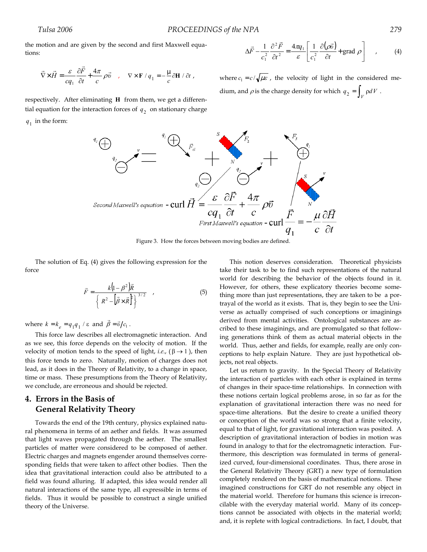the motion and are given by the second and first Maxwell equations:

$$
\vec{\nabla} \times \vec{H} = \frac{\varepsilon}{cq_1} \frac{\partial \vec{F}}{\partial t} + \frac{4\pi}{c} \rho \vec{v} \quad , \quad \nabla \times \mathbf{F} / q_1 = -\frac{\mu}{c} \partial \mathbf{H} / \partial t \; ,
$$

respectively. After eliminating **H** from them, we get a differential equation for the interaction forces of  $q<sub>2</sub>$  on stationary charge

 $q_1$  in the form:



Figure 3. How the forces between moving bodies are defined.

The solution of Eq. (4) gives the following expression for the force

$$
\vec{F} = \frac{k\left(\mathbf{I} - \beta^2\right)\vec{R}}{\left\{R^2 - \left[\vec{\beta} \times \vec{R}\right]\right\}^{3/2}}
$$
\n(5)

where  $k = k_e = q_1 q_1 / \varepsilon$  and  $\vec{\beta} = \vec{v}/c_1$ .

This force law describes all electromagnetic interaction. And as we see, this force depends on the velocity of motion. If the velocity of motion tends to the speed of light, *i.e.*,  $(\beta \rightarrow 1)$ , then this force tends to zero. Naturally, motion of charges does not lead, as it does in the Theory of Relativity, to a change in space, time or mass. These presumptions from the Theory of Relativity, we conclude, are erroneous and should be rejected.

# **4. Errors in the Basis of General Relativity Theory**

Towards the end of the 19th century, physics explained natural phenomena in terms of an aether and fields. It was assumed that light waves propagated through the aether. The smallest particles of matter were considered to be composed of aether. Electric charges and magnets engender around themselves corresponding fields that were taken to affect other bodies. Then the idea that gravitational interaction could also be attributed to a field was found alluring. If adapted, this idea would render all natural interactions of the same type, all expressible in terms of fields. Thus it would be possible to construct a single unified theory of the Universe.

This notion deserves consideration. Theoretical physicists take their task to be to find such representations of the natural world for describing the behavior of the objects found in it. However, for others, these explicatory theories become something more than just representations, they are taken to be a portrayal of the world as it exists. That is, they begin to see the Universe as actually comprised of such conceptions or imaginings derived from mental activities. Ontological substances are ascribed to these imaginings, and are promulgated so that following generations think of them as actual material objects in the world. Thus, aether and fields, for example, really are only conceptions to help explain Nature. They are just hypothetical objects, not real objects.

Let us return to gravity. In the Special Theory of Relativity the interaction of particles with each other is explained in terms of changes in their space-time relationships. In connection with these notions certain logical problems arose, in so far as for the explanation of gravitational interaction there was no need for space-time alterations. But the desire to create a unified theory or conception of the world was so strong that a finite velocity, equal to that of light, for gravitational interaction was posited. A description of gravitational interaction of bodies in motion was found in analogy to that for the electromagnetic interaction. Furthermore, this description was formulated in terms of generalized curved, four-dimensional coordinates. Thus, there arose in the General Relativity Theory (GRT) a new type of formulation completely rendered on the basis of mathematical notions. These imagined constructions for GRT do not resemble any object in the material world. Therefore for humans this science is irreconcilable with the everyday material world. Many of its conceptions cannot be associated with objects in the material world; and, it is replete with logical contradictions. In fact, I doubt, that

 $\left(\rho \vec{v}\right)$  + grad  $\rho$ 

 $\left(\frac{1}{2} \frac{\partial (\rho \vec{v})}{\partial t} + \text{grad } \rho \right)$ 

 $\vec{v}$ 

 $\vec{F} - \frac{1}{r^2} \frac{\partial^2 \vec{F}}{\partial x^2} = \frac{4\pi q_1}{r^2} \left[ \frac{1}{r^2} \frac{\partial (\rho \vec{v})}{\partial x^2} + \text{grad } \rho \right]$ , (4)

L  $\Delta \vec{F} - \frac{1}{c_1^2} \frac{\partial^2 \vec{F}}{\partial t^2} = \frac{4\pi q_1}{\varepsilon} \left[ \frac{1}{c_1^2} \frac{\partial (\rho \vec{v})}{\partial t} + \text{grad } \rho \right]$ 1

*c*

where  $c_1 = c / \sqrt{\mu \varepsilon}$ , the velocity of light in the considered me-

 $\int_1^2 \partial t^2$   $\varepsilon \left[ c_1^2 \partial t \right]$ 

*q*

dium, and  $\rho$  is the charge density for which  $q_2 = \int_V \rho dV$ .

2 2

*t F*

*c*

」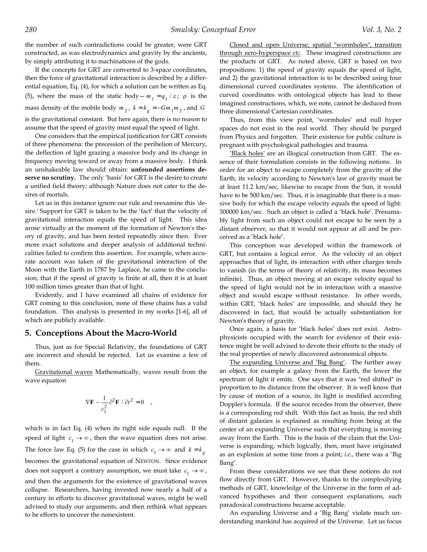the number of such contradictions could be greater, were GRT constructed, as was electrodynamics and gravity by the ancients, by simply attributing it to machinations of the gods.

If the concepts for GRT are converted to 3-space coordinates, then the force of gravitational interaction is described by a differential equation, Eq. (4), for which a solution can be written as Eq. (5), where the mass of the static body -  $m_1 = q_1 / \varepsilon$ ;  $\rho$  is the mass density of the mobile body  $m_2$ ,  $k = k_g = -Gm_1m_2$ , and *G* is the gravitational constant. But here again, there is no reason to assume that the speed of gravity must equal the speed of light.

One considers that the empirical justification for GRT consists of three phenomena: the precession of the perihelion of Mercury, the deflection of light grazing a massive body and its change in frequency moving toward or away from a massive body. I think an unshakeable law should obtain: **unfounded assertions deserve no scrutiny.** The only 'basis' for GRT is the desire to create a unified field theory; although Nature does not cater to the desires of mortals.

Let us in this instance ignore our rule and reexamine this 'desire.' Support for GRT is taken to be the 'fact' that the velocity of gravitational interaction equals the speed of light. This idea arose virtually at the moment of the formation of Newton's theory of gravity, and has been tested repeatedly since then. Ever more exact solutions and deeper analysis of additional technicalities failed to confirm this assertion. For example, when accurate account was taken of the gravitational interaction of the Moon with the Earth in 1787 by Laplace, he came to the conclusion, that if the speed of gravity is finite at all, then it is at least 100 million times greater than that of light.

Evidently, and I have examined all chains of evidence for GRT coming to this conclusion, none of these chains has a valid foundation. This analysis is presented in my works [1-6], all of which are publicly available.

# **5. Conceptions About the Macro-World**

Thus, just as for Special Relativity, the foundations of GRT are incorrect and should be rejected. Let us examine a few of them.

Gravitational waves Mathematically, waves result from the wave equation

$$
\nabla \mathbf{F} - \frac{1}{c_1^2} \partial^2 \mathbf{F} / \partial t^2 = 0 \quad ,
$$

which is in fact Eq. (4) when its right side equals null. If the speed of light  $c_1 \rightarrow \infty$ , then the wave equation does not arise. The force law Eq. (5) for the case in which  $c_1 \rightarrow \infty$  and  $k = k_g$ becomes the gravitational equation of NEWTON. Since evidence does not support a contrary assumption, we must take  $c_1 \rightarrow \infty$ , and then the arguments for the existence of gravitational waves collapse. Researchers, having invested now nearly a half of a century in efforts to discover gravitational waves, might be well advised to study our arguments, and then rethink what appears to be efforts to uncover the nonexistent.

Closed and open Universe, spatial "wormholes", transition through zero-hyperspace *etc*. These imagined constructions are the products of GRT. As noted above, GRT is based on two propositions: 1) the speed of gravity equals the speed of light, and 2) the gravitational interaction is to be described using four dimensional curved coordinates systems. The identification of curved coordinates with ontological objects has lead to these imagined constructions, which, we note, cannot be deduced from three dimensional Cartesian coordinates.

Thus, from this view point, 'wormholes' and null hyper spaces do not exist in the real world. They should be purged from Physics and forgotten. Their existence for public culture is pregnant with psychological pathologies and trauma.

'Black holes' are an illogical construction from GRT. The essence of their formulation consists in the following notions. In order for an object to escape completely from the gravity of the Earth, its velocity according to Newton's law of gravity must be at least 11.2 km/sec, likewise to escape from the Sun, it would have to be 500 km/sec. Thus, it is imaginable that there is a massive body for which the escape velocity equals the speed of light: 300000 km/sec. Such an object is called a 'black hole'. Presumably light from such an object could not escape to be seen by a distant observer, so that it would not appear at all and be perceived as a 'black hole'.

This conception was developed within the framework of GRT, but contains a logical error. As the velocity of an object approaches that of light, its interaction with other charges tends to vanish (in the terms of theory of relativity, its mass becomes infinite). Thus, an object moving at an escape velocity equal to the speed of light would not be in interaction with a massive object and would escape without resistance. In other words, within GRT, 'black holes' are impossible, and should they be discovered in fact, that would be actually substantiation for Newton's theory of gravity.

Once again, a basis for 'black holes' does not exist. Astrophysicists occupied with the search for evidence of their existence might be well advised to devote their efforts to the study of the real properties of newly discovered astronomical objects.

The expanding Universe and 'Big Bang'. The further away an object, for example a galaxy from the Earth, the lower the spectrum of light it emits. One says that it was "red shifted" in proportion to its distance from the observer. It is well know that by cause of motion of a source, its light is modified according Doppler's formula. If the source recedes from the observer, there is a corresponding red shift. With this fact as basis, the red shift of distant galaxies is explained as resulting from being at the center of an expanding Universe such that everything is moving away from the Earth. This is the basis of the claim that the Universe is expanding, which logically, then, must have originated as an explosion at some time from a point; *i.e*., there was a 'Big Bang'.

From these considerations we see that these notions do not flow directly from GRT. However, thanks to the complexifying methods of GRT, knowledge of the Universe in the form of advanced hypotheses and their consequent explanations, such paradoxical constructions became acceptable.

An expanding Universe and a 'Big Bang' violate much understanding mankind has acquired of the Universe. Let us focus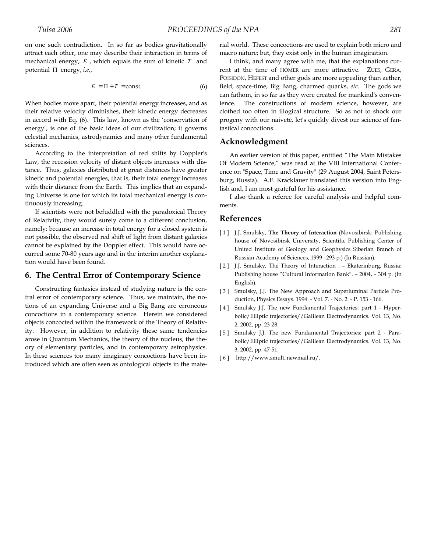$$
E = \Pi + T = \text{const.} \tag{6}
$$

When bodies move apart, their potential energy increases, and as their relative velocity diminishes, their kinetic energy decreases in accord with Eq. (6). This law, known as the 'conservation of energy', is one of the basic ideas of our civilization; it governs celestial mechanics, astrodynamics and many other fundamental sciences.

According to the interpretation of red shifts by Doppler's Law, the recession velocity of distant objects increases with distance. Thus, galaxies distributed at great distances have greater kinetic and potential energies, that is, their total energy increases with their distance from the Earth. This implies that an expanding Universe is one for which its total mechanical energy is continuously increasing.

If scientists were not befuddled with the paradoxical Theory of Relativity, they would surely come to a different conclusion, namely: because an increase in total energy for a closed system is not possible, the observed red shift of light from distant galaxies cannot be explained by the Doppler effect. This would have occurred some 70-80 years ago and in the interim another explanation would have been found.

## **6. The Central Error of Contemporary Science**

Constructing fantasies instead of studying nature is the central error of contemporary science. Thus, we maintain, the notions of an expanding Universe and a Big Bang are erroneous concoctions in a contemporary science. Herein we considered objects concocted within the framework of the Theory of Relativity. However, in addition to relativity these same tendencies arose in Quantum Mechanics, the theory of the nucleus, the theory of elementary particles, and in contemporary astrophysics. In these sciences too many imaginary concoctions have been introduced which are often seen as ontological objects in the material world. These concoctions are used to explain both micro and macro nature; but, they exist only in the human imagination.

I think, and many agree with me, that the explanations current at the time of HOMER are more attractive. ZUES, GERA, POISIDON, HEFEST and other gods are more appealing than aether, field, space-time, Big Bang, charmed quarks, *etc*. The gods we can fathom, in so far as they were created for mankind's convenience. The constructions of modern science, however, are clothed too often in illogical structure. So as not to shock our progeny with our naiveté, let's quickly divest our science of fantastical concoctions.

# **Acknowledgment**

An earlier version of this paper, entitled "The Main Mistakes Of Modern Science," was read at the VIII International Conference on "Space, Time and Gravity" (29 August 2004, Saint Petersburg, Russia). A.F. Kracklauer translated this version into English and, I am most grateful for his assistance.

I also thank a referee for careful analysis and helpful comments.

## **References**

- [1] J.J. Smulsky, **The Theory of Interaction** (Novosibirsk: Publishing house of Novosibirsk University, Scientific Publishing Center of United Institute of Geology and Geophysics Siberian Branch of Russian Academy of Sciences, 1999 –293 p.) (In Russian).
- [2] J.J. Smulsky, The Theory of Interaction . Ekaterinburg, Russia: Publishing house "Cultural Information Bank". – 2004, – 304 p. (In English).
- [3] Smulsky, J.J. The New Approach and Superluminal Particle Production, Physics Essays. 1994. - Vol. 7. - No. 2. - P. 153 - 166.
- [4] Smulsky J.J. The new Fundamental Trajectories: part 1 Hyperbolic/Elliptic trajectories//Galilean Electrodynamics. Vol. 13, No. 2, 2002, pp. 23-28.
- [5] Smulsky J.J. The new Fundamental Trajectories: part 2 Parabolic/Elliptic trajectories//Galilean Electrodynamics. Vol. 13, No. 3, 2002, pp. 47-51.
- [6] <http://www.smul1.newmail.ru/>.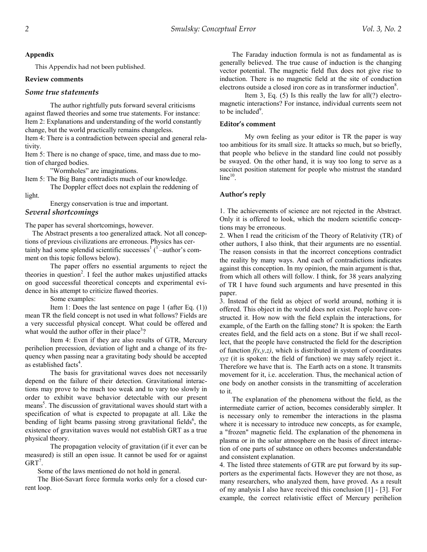### **Appendix**

This Appendix had not been published.

#### **Review comments**

## *Some true statements*

 The author rightfully puts forward several criticisms against flawed theories and some true statements. For instance: Item 2: Explanations and understanding of the world constantly

change, but the world practically remains changeless.

Item 4: There is a contradiction between special and general relativity.

Item 5: There is no change of space, time, and mass due to motion of charged bodies.

"Wormholes" are imaginations.

Item 5: The Big Bang contradicts much of our knowledge. The Doppler effect does not explain the reddening of

light.

Energy conservation is true and important.

# *Several shortcomings*

The paper has several shortcomings, however.

 The Abstract presents a too generalized attack. Not all conceptions of previous civilizations are erroneous. Physics has certainly had some splendid scientific successes $1$  ( $1$  –author's comment on this topic follows below).

 The paper offers no essential arguments to reject the theories in question<sup>2</sup>. I feel the author makes unjustified attacks on good successful theoretical concepts and experimental evidence in his attempt to criticize flawed theories.

Some examples:

 Item 1: Does the last sentence on page 1 (after Eq. (1)) mean TR the field concept is not used in what follows? Fields are a very successful physical concept. What could be offered and what would the author offer in their place<sup>3</sup>?

Item 4: Even if they are also results of GTR, Mercury perihelion precession, deviation of light and a change of its frequency when passing near a gravitating body should be accepted as established facts<sup>4</sup>.

The basis for gravitational waves does not necessarily depend on the failure of their detection. Gravitational interactions may prove to be much too weak and to vary too slowly in order to exhibit wave behavior detectable with our present means<sup>5</sup>. The discussion of gravitational waves should start with a specification of what is expected to propagate at all. Like the bending of light beams passing strong gravitational fields<sup>6</sup>, the existence of gravitation waves would not establish GRT as a true physical theory.

 The propagation velocity of gravitation (if it ever can be measured) is still an open issue. It cannot be used for or against  $GRT^7$ .

Some of the laws mentioned do not hold in general.

The Biot-Savart force formula works only for a closed current loop.

The Faraday induction formula is not as fundamental as is generally believed. The true cause of induction is the changing vector potential. The magnetic field flux does not give rise to induction. There is no magnetic field at the site of conduction electrons outside a closed iron core as in transformer induction<sup>8</sup>.

Item 3, Eq. (5) Is this really the law for all(?) electromagnetic interactions? For instance, individual currents seem not to be included $9$ .

#### **Editor's comment**

 My own feeling as your editor is TR the paper is way too ambitious for its small size. It attacks so much, but so briefly, that people who believe in the standard line could not possibly be swayed. On the other hand, it is way too long to serve as a succinct position statement for people who mistrust the standard  $line<sup>10</sup>$ .

## **Author's reply**

1. The achievements of science are not rejected in the Abstract. Only it is offered to look, which the modern scientific conceptions may be erroneous.

2. When I read the criticism of the Theory of Relativity (TR) of other authors, I also think, that their arguments are no essential. The reason consists in that the incorrect conceptions contradict the reality by many ways. And each of contradictions indicates against this conception. In my opinion, the main argument is that, from which all others will follow. I think, for 38 years analyzing of TR I have found such arguments and have presented in this paper.

3. Instead of the field as object of world around, nothing it is offered. This object in the world does not exist. People have constructed it. How now with the field explain the interactions, for example, of the Earth on the falling stone? It is spoken: the Earth creates field, and the field acts on a stone. But if we shall recollect, that the people have constructed the field for the description of function  $f(x, y, z)$ , which is distributed in system of coordinates *xyz* (it is spoken: the field of function) we may safely reject it.. Therefore we have that is. The Earth acts on a stone. It transmits movement for it, i.e. acceleration. Thus, the mechanical action of one body on another consists in the transmitting of acceleration to it.

The explanation of the phenomena without the field, as the intermediate carrier of action, becomes considerably simpler. It is necessary only to remember the interactions in the plasma where it is necessary to introduce new concepts, as for example, a "frozen" magnetic field. The explanation of the phenomena in plasma or in the solar atmosphere on the basis of direct interaction of one parts of substance on others becomes understandable and consistent explanation.

4. The listed three statements of GTR are put forward by its supporters as the experimental facts. However they are not those, as many researchers, who analyzed them, have proved. As a result of my analysis I also have received this conclusion [1] - [3]. For example, the correct relativistic effect of Mercury perihelion